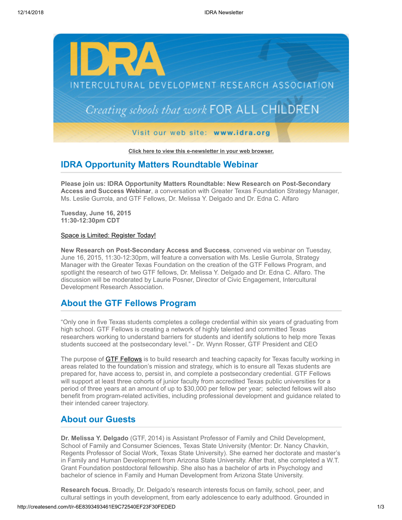

**[Click here to view this e-newsletter in your web browser.](http://newsletter.impulsedevelopment.com/t/r-e-athjddl-l-r/)**

## **IDRA Opportunity Matters Roundtable Webinar**

**Please join us: IDRA Opportunity Matters Roundtable: New Research on Post-Secondary Access and Success Webinar**, a conversation with Greater Texas Foundation Strategy Manager, Ms. Leslie Gurrola, and GTF Fellows, Dr. Melissa Y. Delgado and Dr. Edna C. Alfaro

**Tuesday, June 16, 2015 11:30-12:30pm CDT**

#### [Space is Limited: Register Today!](http://idra.createsend1.com/t/r-l-athjddl-l-i/)

**New Research on Post-Secondary Access and Success**, convened via webinar on Tuesday, June 16, 2015, 11:30-12:30pm, will feature a conversation with Ms. Leslie Gurrola, Strategy Manager with the Greater Texas Foundation on the creation of the GTF Fellows Program, and spotlight the research of two GTF fellows, Dr. Melissa Y. Delgado and Dr. Edna C. Alfaro. The discussion will be moderated by Laurie Posner, Director of Civic Engagement, Intercultural Development Research Association.

## **About the GTF Fellows Program**

"Only one in five Texas students completes a college credential within six years of graduating from high school. GTF Fellows is creating a network of highly talented and committed Texas researchers working to understand barriers for students and identify solutions to help more Texas students succeed at the postsecondary level." - Dr. Wynn Rosser, GTF President and CEO

The purpose of **[GTF Fellows](http://idra.createsend1.com/t/r-l-athjddl-l-d/)** is to build research and teaching capacity for Texas faculty working in areas related to the foundation's mission and strategy, which is to ensure all Texas students are prepared for, have access to, persist in, and complete a postsecondary credential. GTF Fellows will support at least three cohorts of junior faculty from accredited Texas public universities for a period of three years at an amount of up to \$30,000 per fellow per year; selected fellows will also benefit from program-related activities, including professional development and guidance related to their intended career trajectory.

## **About our Guests**

**Dr. Melissa Y. Delgado** (GTF, 2014) is Assistant Professor of Family and Child Development, School of Family and Consumer Sciences, Texas State University (Mentor: Dr. Nancy Chavkin, Regents Professor of Social Work, Texas State University). She earned her doctorate and master's in Family and Human Development from Arizona State University. After that, she completed a W.T. Grant Foundation postdoctoral fellowship. She also has a bachelor of arts in Psychology and bachelor of science in Family and Human Development from Arizona State University.

**Research focus.** Broadly, Dr. Delgado's research interests focus on family, school, peer, and cultural settings in youth development, from early adolescence to early adulthood. Grounded in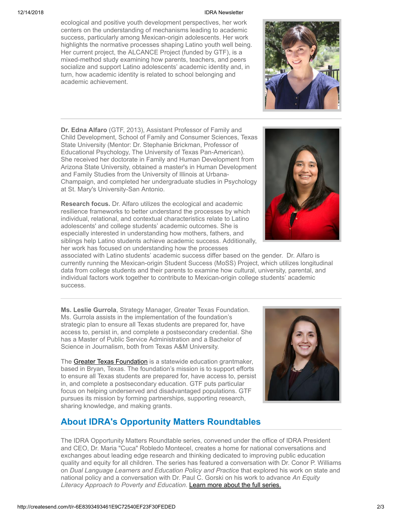#### 12/14/2018 IDRA Newsletter

ecological and positive youth development perspectives, her work centers on the understanding of mechanisms leading to academic success, particularly among Mexican-origin adolescents. Her work highlights the normative processes shaping Latino youth well being. Her current project, the ALCANCE Project (funded by GTF), is a mixed-method study examining how parents, teachers, and peers socialize and support Latino adolescents' academic identity and, in turn, how academic identity is related to school belonging and academic achievement.

**Dr. Edna Alfaro** (GTF, 2013), Assistant Professor of Family and Child Development, School of Family and Consumer Sciences, Texas State University (Mentor: Dr. Stephanie Brickman, Professor of Educational Psychology, The University of Texas Pan-American). She received her doctorate in Family and Human Development from Arizona State University, obtained a master's in Human Development and Family Studies from the University of Illinois at Urbana-Champaign, and completed her undergraduate studies in Psychology at St. Mary's University-San Antonio.

**Research focus.** Dr. Alfaro utilizes the ecological and academic resilience frameworks to better understand the processes by which individual, relational, and contextual characteristics relate to Latino adolescents' and college students' academic outcomes. She is especially interested in understanding how mothers, fathers, and siblings help Latino students achieve academic success. Additionally, her work has focused on understanding how the processes

associated with Latino students' academic success differ based on the gender. Dr. Alfaro is currently running the Mexican-origin Student Success (MoSS) Project, which utilizes longitudinal data from college students and their parents to examine how cultural, university, parental, and individual factors work together to contribute to Mexican-origin college students' academic success.

**Ms. Leslie Gurrola**, Strategy Manager, Greater Texas Foundation. Ms. Gurrola assists in the implementation of the foundation's strategic plan to ensure all Texas students are prepared for, have access to, persist in, and complete a postsecondary credential. She has a Master of Public Service Administration and a Bachelor of Science in Journalism, both from Texas A&M University.

The [Greater Texas Foundation](http://idra.createsend1.com/t/r-l-athjddl-l-o/) is a statewide education grantmaker, based in Bryan, Texas. The foundation's mission is to support efforts to ensure all Texas students are prepared for, have access to, persist in, and complete a postsecondary education. GTF puts particular focus on helping underserved and disadvantaged populations. GTF pursues its mission by forming partnerships, supporting research, sharing knowledge, and making grants.

# **About IDRA's Opportunity Matters Roundtables**

The IDRA Opportunity Matters Roundtable series, convened under the office of IDRA President and CEO, Dr. Maria "Cuca" Robledo Montecel, creates a home for national conversations and exchanges about leading edge research and thinking dedicated to improving public education quality and equity for all children. The series has featured a conversation with Dr. Conor P. Williams on *Dual Language Learners and Education Policy and Practice* that explored his work on state and national policy and a conversation with Dr. Paul C. Gorski on his work to advance *An Equity Literacy Approach to Poverty and Education*. [Learn more about the full series.](http://idra.createsend1.com/t/r-l-athjddl-l-b/)